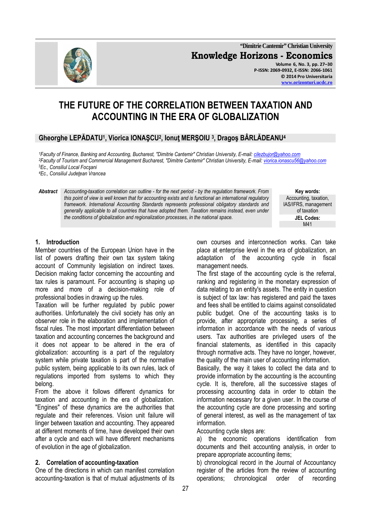27

**"Dimitrie Cantemir" Christian University Knowledge Horizons - Economics Volume 6, No. 3, pp. 27–30 P-ISSN: 2069-0932, E-ISSN: 2066-1061 © 2014 Pro Universitaria** 

**Key words:**  Accounting, taxation, IAS/IFRS, management of taxation **JEL Codes:**

M41

# **THE FUTURE OF THE CORRELATION BETWEEN TAXATION AND ACCOUNTING IN THE ERA OF GLOBALIZATION**

# **Gheorghe LEPĂDATU<sup>1</sup> , Viorica IONAŞCU<sup>2</sup> , Ionuţ MERŞOIU <sup>3</sup> , Dragoş BÂRLĂDEANU<sup>4</sup>**

*<sup>1</sup>Faculty of Finance, Banking and Accounting, Bucharest, "Dimitrie Cantemir" Christian University, E-mail: cilezbujor@yahoo.com <sup>2</sup>Faculty of Tourism and Commercial Management Bucharest, "Dimitrie Cantemir" Christian University, E-mail: viorica.ionascu56@yahoo.com* <sup>3</sup>*Ec., Consiliul Local Focşani* 

*<sup>4</sup>Ec., Consiliul Judeţean Vrancea* 

*Abstract Accounting-taxation correlation can outline - for the next period - by the regulation framework. From this point of view is well known that for accounting exists and is functional an international regulatory framework. International Accounting Standards represents professional obligatory standards and generally applicable to all countries that have adopted them. Taxation remains instead, even under the conditions of globalization and regionalization processes, in the national space.*

> own courses and interconnection works. Can take place at enterprise level in the era of globalization, an adaptation of the accounting cycle in fiscal management needs.

> The first stage of the accounting cycle is the referral, ranking and registering in the monetary expression of data relating to an entity's assets. The entity in question is subject of tax law: has registered and paid the taxes and fees shall be entitled to claims against consolidated public budget. One of the accounting tasks is to provide, after appropriate processing, a series of information in accordance with the needs of various users. Tax authorities are privileged users of the financial statements, as identified in this capacity through normative acts. They have no longer, however, the quality of the main user of accounting information.

> Basically, the way it takes to collect the data and to provide information by the accounting is the accounting cycle. It is, therefore, all the successive stages of processing accounting data in order to obtain the information necessary for a given user. In the course of the accounting cycle are done processing and sorting of general interest, as well as the management of tax information.

Accounting cycle steps are:

a) the economic operations identification from documents and theit accounting analysis, in order to prepare appropriate accounting items;

b) chronological record in the Journal of Accountancy register of the articles from the review of accounting operations; chronological order of recording

# **1. Introduction**

Member countries of the European Union have in the list of powers drafting their own tax system taking account of Community legislation on indirect taxes. Decision making factor concerning the accounting and tax rules is paramount. For accounting is shaping up more and more of a decision-making role of professional bodies in drawing up the rules.

Taxation will be further regulated by public power authorities. Unfortunately the civil society has only an observer role in the elaboration and implementation of fiscal rules. The most important differentiation between taxation and accounting concernes the background and it does not appear to be altered in the era of globalization: accounting is a part of the regulatory system while private taxation is part of the normative public system, being applicable to its own rules, lack of regulations imported from systems to which they belong.

From the above it follows different dynamics for taxation and accounting in the era of globalization. "Engines" of these dynamics are the authorities that regulate and their references. Vision unit failure will linger between taxation and accounting. They appeared at different moments of time, have developed their own after a cycle and each will have different mechanisms of evolution in the age of globalization.

#### **2. Correlation of accounting-taxation**

One of the directions in which can manifest correlation accounting-taxation is that of mutual adjustments of its



**www.orizonturi.ucdc.ro**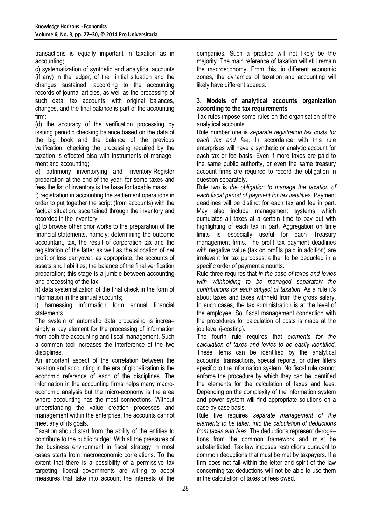transactions is equally important in taxation as in accounting;

c) systematization of synthetic and analytical accounts (if any) in the ledger, of the initial situation and the changes sustained, according to the accounting records of journal articles, as well as the processing of such data; tax accounts, with original balances, changes, and the final balance is part of the accounting firm;

(d) the accuracy of the verification processing by issuing periodic checking balance based on the data of the big book and the balance of the previous verification; checking the processing required by the taxation is effected also with instruments of manage– ment and accounting;

e) patrimony inventorying and Inventory-Register preparation at the end of the year; for some taxes and fees the list of inventory is the base for taxable mass;

f) registration in accounting the settlement operations in order to put together the script (from accounts) with the factual situation, ascertained through the inventory and recorded in the inventory;

g) to browse other prior works to the preparation of the financial statements, namely: determining the outcome accountant, tax, the result of corporation tax and the registration of the latter as well as the allocation of net profit or loss carryover, as appropriate, the accounts of assets and liabilities, the balance of the final verification preparation; this stage is a jumble between accounting and processing of the tax;

h) data systematization of the final check in the form of information in the annual accounts;

i) harnessing information form annual financial statements.

The system of automatic data processing is increa– singly a key element for the processing of information from both the accounting and fiscal management. Such a common tool increases the interference of the two disciplines.

An important aspect of the correlation between the taxation and accounting in the era of globalization is the economic reference of each of the disciplines. The information in the accounting firms helps many macroeconomic analysis but the micro-economy is the area where accounting has the most connections. Without understanding the value creation processes and management within the enterprise, the accounts cannot meet any of its goals.

Taxation should start from the ability of the entities to contribute to the public budget. With all the pressures of the business environment in fiscal strategy in most cases starts from macroeconomic correlations. To the extent that there is a possibility of a permissive tax targeting, liberal governments are willing to adopt measures that take into account the interests of the

companies. Such a practice will not likely be the majority. The main reference of taxation will still remain the macroeconomy. From this, in different economic zones, the dynamics of taxation and accounting will likely have different speeds.

#### **3. Models of analytical accounts organization according to the tax requirements**

Tax rules impose some rules on the organisation of the analytical accounts.

Rule number one is *separate registration tax costs for each tax and fee*. In accordance with this rule enterprises will have a synthetic or analytic account for each tax or fee basis. Even if more taxes are paid to the same public authority, or even the same treasury account firms are required to record the obligation in question separately.

Rule two is *the obligation to manage the taxation of each fiscal period of payment for tax liabilities.* Payment deadlines will be distinct for each tax and fee in part. May also include management systems which cumulates all taxes at a certain time to pay but with highlighting of each tax in part. Aggregation on time limits is especially useful for each Treasury management firms. The profit tax payment deadlines with negative value (tax on profits paid in addition) are irrelevant for tax purposes: either to be deducted in a specific order of payment amounts.

Rule three requires that *in the case of taxes and levies with withholding to be managed separately the contributions for each subject of taxation*. As a rule it's about taxes and taxes withheld from the gross salary. In such cases, the tax administration is at the level of the employee. So, fiscal management connection with the procedures for calculation of costs is made at the job level (j-costing).

The fourth rule requires that *elements for the calculation of taxes and levies to be easily identified*. These items can be identified by the analytical accounts, transactions, special reports, or other filters specific to the information system. No fiscal rule cannot enforce the procedure by which they can be identified the elements for the calculation of taxes and fees. Depending on the complexity of the information system and power system will find appropriate solutions on a case by case basis.

Rule five requires *separate management of the elements to be taken into the calculation of deductions from taxes and fees*. The deductions represent deroga– tions from the common framework and must be substantiated. Tax law imposes restrictions pursuant to common deductions that must be met by taxpayers. If a firm does not fall within the letter and spirit of the law concerning tax deductions will not be able to use them in the calculation of taxes or fees owed.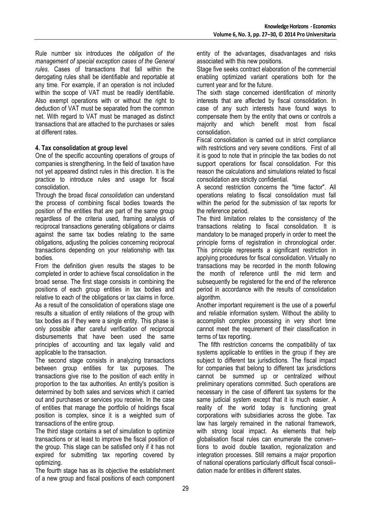Rule number six introduces *the obligation of the management of special exception cases of the General rules*. Cases of transactions that fall within the derogating rules shall be identifiable and reportable at any time. For example, if an operation is not included within the scope of VAT must be readily identifiable. Also exempt operations with or without the right to deduction of VAT must be separated from the common net. With regard to VAT must be managed as distinct transactions that are attached to the purchases or sales at different rates.

# **4. Tax consolidation at group level**

One of the specific accounting operations of groups of companies is strengthening. In the field of taxation have not yet appeared distinct rules in this direction. It is the practice to introduce rules and usage for fiscal consolidation.

Through the broad *fiscal consolidation* can understand the process of combining fiscal bodies towards the position of the entities that are part of the same group regardless of the criteria used, framing analysis of reciprocal transactions generating obligations or claims against the same tax bodies relating to the same obligations, adjusting the policies concerning reciprocal transactions depending on your relationship with tax bodies.

From the definition given results the stages to be completed in order to achieve fiscal consolidation in the broad sense. The first stage consists in combining the positions of each group entities in tax bodies and relative to each of the obligations or tax claims in force. As a result of the consolidation of operations stage one results a situation of entity relations of the group with tax bodies as if they were a single entity. This phase is only possible after careful verification of reciprocal disbursements that have been used the same principles of accounting and tax legally valid and applicable to the transaction.

The second stage consists in analyzing transactions between group entities for tax purposes. The transactions give rise to the position of each entity in proportion to the tax authorities. An entity's position is determined by both sales and services which it carried out and purchases or services you receive. In the case of entities that manage the portfolio of holdings fiscal position is complex, since it is a weighted sum of transactions of the entire group.

The third stage contains a set of simulation to optimize transactions or at least to improve the fiscal position of the group. This stage can be satisfied only if it has not expired for submitting tax reporting covered by optimizing.

The fourth stage has as its objective the establishment of a new group and fiscal positions of each component

entity of the advantages, disadvantages and risks associated with this new positions.

Stage five seeks contract elaboration of the commercial enabling optimized variant operations both for the current year and for the future.

The sixth stage concerned identification of minority interests that are affected by fiscal consolidation. In case of any such interests have found ways to compensate them by the entity that owns or controls a majority and which benefit most from fiscal consolidation.

Fiscal consolidation is carried out in strict compliance with restrictions and very severe conditions. First of all it is good to note that in principle the tax bodies do not support operations for fiscal consolidation. For this reason the calculations and simulations related to fiscal consolidation are strictly confidential.

A second restriction concerns the "time factor". All operations relating to fiscal consolidation must fall within the period for the submission of tax reports for the reference period.

The third limitation relates to the consistency of the transactions relating to fiscal consolidation. It is mandatory to be managed properly in order to meet the principle forms of registration in chronological order. This principle represents a significant restriction in applying procedures for fiscal consolidation. Virtually no transactions may be recorded in the month following the month of reference until the mid term and subsequently be registered for the end of the reference period in accordance with the results of consolidation algorithm.

Another important requirement is the use of a powerful and reliable information system. Without the ability to accomplish complex processing in very short time cannot meet the requirement of their classification in terms of tax reporting.

 The fifth restriction concerns the compatibility of tax systems applicable to entities in the group if they are subject to different tax jurisdictions. The fiscal impact for companies that belong to different tax jurisdictions cannot be summed up or centralized without preliminary operations committed. Such operations are necessary in the case of different tax systems for the same judicial system except that it is much easier. A reality of the world today is functioning great corporations with subsidiaries across the globe. Tax law has largely remained in the national framework, with strong local impact. As elements that help globalisation fiscal rules can enumerate the conven– tions to avoid double taxation, regionalization and integration processes. Still remains a major proportion of national operations particularly difficult fiscal consoli– dation made for entities in different states.